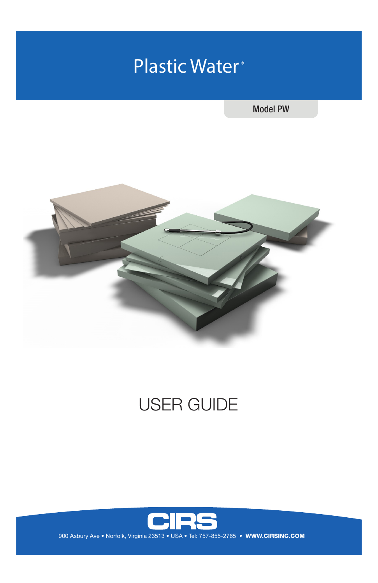# Plastic Water<sup>®</sup>

Model PW



# USER GUIDE

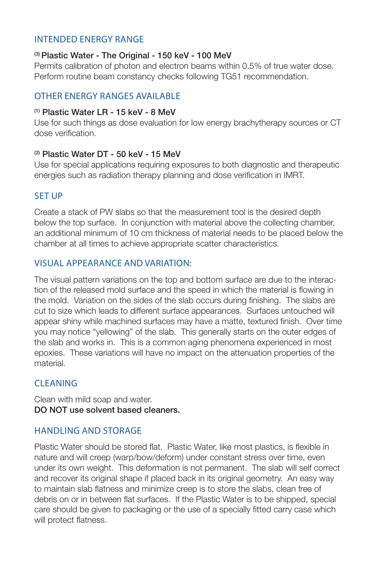### INTENDED ENERGY RANGE

#### <sup>(3)</sup> Plastic Water - The Original - 150 keV - 100 MeV

Permits calibration of photon and electron beams within 0.5% of true water dose. Perform routine beam constancy checks following TG51 recommendation.

### OTHER ENERGY RANGES AVAILABLE

#### $<sup>(1)</sup>$  Plastic Water LR - 15 keV - 8 MeV</sup>

Use for such things as dose evaluation for low energy brachytherapy sources or CT dose verification.

#### (2) Plastic Water DT - 50 keV - 15 MeV

Use for special applications requiring exposures to both diagnostic and therapeutic energies such as radiation therapy planning and dose verification in IMRT.

# SET UP

Create a stack of PW slabs so that the measurement tool is the desired depth below the top surface. In conjunction with material above the collecting chamber, an additional minimum of 10 cm thickness of material needs to be placed below the chamber at all times to achieve appropriate scatter characteristics.

#### VISUAL APPEARANCE AND VARIATION:

The visual pattern variations on the top and bottom surface are due to the interaction of the released mold surface and the speed in which the material is flowing in the mold. Variation on the sides of the slab occurs during finishing. The slabs are cut to size which leads to different surface appearances. Surfaces untouched will appear shiny while machined surfaces may have a matte, textured finish. Over time you may notice "yellowing" of the slab. This generally starts on the outer edges of the slab and works in. This is a common aging phenomena experienced in most epoxies. These variations will have no impact on the attenuation properties of the material.

# CLEANING

Clean with mild soap and water. DO NOT use solvent based cleaners.

#### HANDLING AND STORAGE

Plastic Water should be stored flat. Plastic Water, like most plastics, is flexible in nature and will creep (warp/bow/deform) under constant stress over time, even under its own weight. This deformation is not permanent. The slab will self correct and recover its original shape if placed back in its original geometry. An easy way to maintain slab flatness and minimize creep is to store the slabs, clean free of debris on or in between flat surfaces. If the Plastic Water is to be shipped, special care should be given to packaging or the use of a specially fitted carry case which will protect flatness.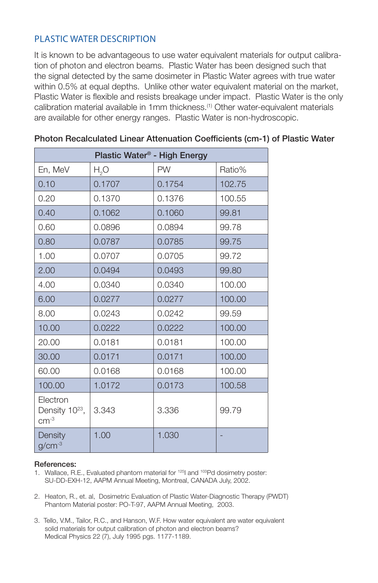# PLASTIC WATER DESCRIPTION

It is known to be advantageous to use water equivalent materials for output calibration of photon and electron beams. Plastic Water has been designed such that the signal detected by the same dosimeter in Plastic Water agrees with true water within 0.5% at equal depths. Unlike other water equivalent material on the market, Plastic Water is flexible and resists breakage under impact. Plastic Water is the only calibration material available in 1mm thickness.(1) Other water-equivalent materials are available for other energy ranges. Plastic Water is non-hydroscopic.

| Plastic Water <sup>®</sup> - High Energy         |                  |           |        |
|--------------------------------------------------|------------------|-----------|--------|
| En, MeV                                          | H <sub>2</sub> O | <b>PW</b> | Ratio% |
| 0.10                                             | 0.1707           | 0.1754    | 102.75 |
| 0.20                                             | 0.1370           | 0.1376    | 100.55 |
| 0.40                                             | 0.1062           | 0.1060    | 99.81  |
| 0.60                                             | 0.0896           | 0.0894    | 99.78  |
| 0.80                                             | 0.0787           | 0.0785    | 99.75  |
| 1.00                                             | 0.0707           | 0.0705    | 99.72  |
| 2.00                                             | 0.0494           | 0.0493    | 99.80  |
| 4.00                                             | 0.0340           | 0.0340    | 100.00 |
| 6.00                                             | 0.0277           | 0.0277    | 100,00 |
| 8.00                                             | 0.0243           | 0.0242    | 99.59  |
| 10.00                                            | 0.0222           | 0.0222    | 100.00 |
| 20.00                                            | 0.0181           | 0.0181    | 100.00 |
| 30.00                                            | 0.0171           | 0.0171    | 100.00 |
| 60.00                                            | 0.0168           | 0.0168    | 100.00 |
| 100,00                                           | 1.0172           | 0.0173    | 100.58 |
| Electron<br>Density 10 <sup>23</sup> ,<br>$cm-3$ | 3.343            | 3.336     | 99.79  |
| Density<br>$g/cm^{-3}$                           | 1.00             | 1.030     |        |

#### Photon Recalculated Linear Attenuation Coefficients (cm-1) of Plastic Water

#### References:

1. Wallace, R.E., Evaluated phantom material for <sup>125</sup>l and <sup>103</sup>Pd dosimetry poster: SU-DD-EXH-12, AAPM Annual Meeting, Montreal, CANADA July, 2002.

- 2. Heaton, R., et. al, Dosimetric Evaluation of Plastic Water-Diagnostic Therapy (PWDT) Phantom Material poster: PO-T-97, AAPM Annual Meeting, 2003.
- 3. Tello, V.M., Tailor, R.C., and Hanson, W.F. How water equivalent are water equivalent solid materials for output calibration of photon and electron beams? Medical Physics 22 (7), July 1995 pgs. 1177-1189.